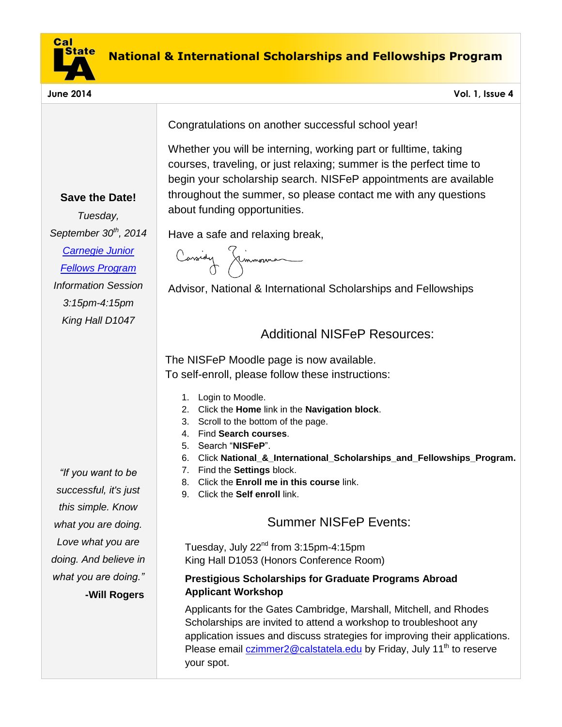

**Save the Date!**

*Tuesday, September 30th , 2014 [Carnegie Junior](http://carnegieendowment.org/about/?fa=jrFellows#eligible)  [Fellows Program](http://carnegieendowment.org/about/?fa=jrFellows#eligible) Information Session 3:15pm-4:15pm King Hall D1047*

Congratulations on another successful school year!

Whether you will be interning, working part or fulltime, taking courses, traveling, or just relaxing; summer is the perfect time to begin your scholarship search. NISFeP appointments are available throughout the summer, so please contact me with any questions about funding opportunities.

Have a safe and relaxing break,

Cassidy Jimmonna

Advisor, National & International Scholarships and Fellowships

# Additional NISFeP Resources:

The NISFeP Moodle page is now available. To self-enroll, please follow these instructions:

- 1. Login to Moodle.
- 2. Click the **Home** link in the **Navigation block**.
- 3. Scroll to the bottom of the page.
- 4. Find **Search courses**.
- 5. Search "**NISFeP**".
- 6. Click **National\_&\_International\_Scholarships\_and\_Fellowships\_Program.**
- 7. Find the **Settings** block.
- 8. Click the **Enroll me in this course** link.
- 9. Click the **Self enroll** link.

# Summer NISFeP Events:

Tuesday, July 22<sup>nd</sup> from 3:15pm-4:15pm King Hall D1053 (Honors Conference Room)

## **Prestigious Scholarships for Graduate Programs Abroad Applicant Workshop**

Applicants for the Gates Cambridge, Marshall, Mitchell, and Rhodes Scholarships are invited to attend a workshop to troubleshoot any application issues and discuss strategies for improving their applications. Please email *czimmer2@calstatela.edu* by Friday, July 11<sup>th</sup> to reserve your spot.

*"If you want to be successful, it's just this simple. Know what you are doing. Love what you are doing. And believe in what you are doing."* **-Will Rogers**